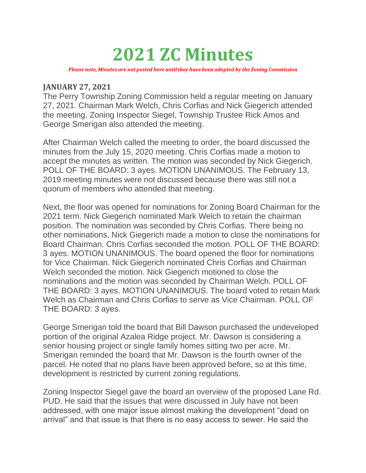# **2021 ZC Minutes**

*Please note, Minutes are not posted here until they have been adopted by the Zoning Commission*

#### **JANUARY 27, 2021**

The Perry Township Zoning Commission held a regular meeting on January 27, 2021. Chairman Mark Welch, Chris Corfias and Nick Giegerich attended the meeting. Zoning Inspector Siegel, Township Trustee Rick Amos and George Smerigan also attended the meeting.

After Chairman Welch called the meeting to order, the board discussed the minutes from the July 15, 2020 meeting. Chris Corfias made a motion to accept the minutes as written. The motion was seconded by Nick Giegerich. POLL OF THE BOARD: 3 ayes. MOTION UNANIMOUS. The February 13, 2019 meeting minutes were not discussed because there was still not a quorum of members who attended that meeting.

Next, the floor was opened for nominations for Zoning Board Chairman for the 2021 term. Nick Giegerich nominated Mark Welch to retain the chairman position. The nomination was seconded by Chris Corfias. There being no other nominations, Nick Giegerich made a motion to close the nominations for Board Chairman. Chris Corfias seconded the motion. POLL OF THE BOARD: 3 ayes. MOTION UNANIMOUS. The board opened the floor for nominations for Vice Chairman. Nick Giegerich nominated Chris Corfias and Chairman Welch seconded the motion. Nick Giegerich motioned to close the nominations and the motion was seconded by Chairman Welch. POLL OF THE BOARD: 3 ayes. MOTION UNANIMOUS. The board voted to retain Mark Welch as Chairman and Chris Corfias to serve as Vice Chairman. POLL OF THE BOARD: 3 ayes.

George Smerigan told the board that Bill Dawson purchased the undeveloped portion of the original Azalea Ridge project. Mr. Dawson is considering a senior housing project or single family homes sitting two per acre. Mr. Smerigan reminded the board that Mr. Dawson is the fourth owner of the parcel. He noted that no plans have been approved before, so at this time, development is restricted by current zoning regulations.

Zoning Inspector Siegel gave the board an overview of the proposed Lane Rd. PUD. He said that the issues that were discussed in July have not been addressed, with one major issue almost making the development "dead on arrival" and that issue is that there is no easy access to sewer. He said the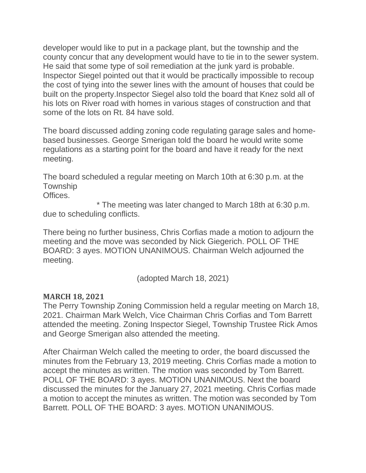developer would like to put in a package plant, but the township and the county concur that any development would have to tie in to the sewer system. He said that some type of soil remediation at the junk yard is probable. Inspector Siegel pointed out that it would be practically impossible to recoup the cost of tying into the sewer lines with the amount of houses that could be built on the property.Inspector Siegel also told the board that Knez sold all of his lots on River road with homes in various stages of construction and that some of the lots on Rt. 84 have sold.

The board discussed adding zoning code regulating garage sales and homebased businesses. George Smerigan told the board he would write some regulations as a starting point for the board and have it ready for the next meeting.

The board scheduled a regular meeting on March 10th at 6:30 p.m. at the **Township** Offices.

\* The meeting was later changed to March 18th at 6:30 p.m. due to scheduling conflicts.

There being no further business, Chris Corfias made a motion to adjourn the meeting and the move was seconded by Nick Giegerich. POLL OF THE BOARD: 3 ayes. MOTION UNANIMOUS. Chairman Welch adjourned the meeting.

(adopted March 18, 2021)

### **MARCH 18, 2021**

The Perry Township Zoning Commission held a regular meeting on March 18, 2021. Chairman Mark Welch, Vice Chairman Chris Corfias and Tom Barrett attended the meeting. Zoning Inspector Siegel, Township Trustee Rick Amos and George Smerigan also attended the meeting.

After Chairman Welch called the meeting to order, the board discussed the minutes from the February 13, 2019 meeting. Chris Corfias made a motion to accept the minutes as written. The motion was seconded by Tom Barrett. POLL OF THE BOARD: 3 ayes. MOTION UNANIMOUS. Next the board discussed the minutes for the January 27, 2021 meeting. Chris Corfias made a motion to accept the minutes as written. The motion was seconded by Tom Barrett. POLL OF THE BOARD: 3 ayes. MOTION UNANIMOUS.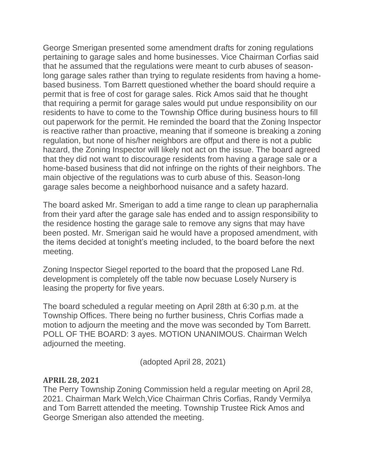George Smerigan presented some amendment drafts for zoning regulations pertaining to garage sales and home businesses. Vice Chairman Corfias said that he assumed that the regulations were meant to curb abuses of seasonlong garage sales rather than trying to regulate residents from having a homebased business. Tom Barrett questioned whether the board should require a permit that is free of cost for garage sales. Rick Amos said that he thought that requiring a permit for garage sales would put undue responsibility on our residents to have to come to the Township Office during business hours to fill out paperwork for the permit. He reminded the board that the Zoning Inspector is reactive rather than proactive, meaning that if someone is breaking a zoning regulation, but none of his/her neighbors are offput and there is not a public hazard, the Zoning Inspector will likely not act on the issue. The board agreed that they did not want to discourage residents from having a garage sale or a home-based business that did not infringe on the rights of their neighbors. The main objective of the regulations was to curb abuse of this. Season-long garage sales become a neighborhood nuisance and a safety hazard.

The board asked Mr. Smerigan to add a time range to clean up paraphernalia from their yard after the garage sale has ended and to assign responsibility to the residence hosting the garage sale to remove any signs that may have been posted. Mr. Smerigan said he would have a proposed amendment, with the items decided at tonight's meeting included, to the board before the next meeting.

Zoning Inspector Siegel reported to the board that the proposed Lane Rd. development is completely off the table now becuase Losely Nursery is leasing the property for five years.

The board scheduled a regular meeting on April 28th at 6:30 p.m. at the Township Offices. There being no further business, Chris Corfias made a motion to adjourn the meeting and the move was seconded by Tom Barrett. POLL OF THE BOARD: 3 ayes. MOTION UNANIMOUS. Chairman Welch adjourned the meeting.

(adopted April 28, 2021)

### **APRIL 28, 2021**

The Perry Township Zoning Commission held a regular meeting on April 28, 2021. Chairman Mark Welch,Vice Chairman Chris Corfias, Randy Vermilya and Tom Barrett attended the meeting. Township Trustee Rick Amos and George Smerigan also attended the meeting.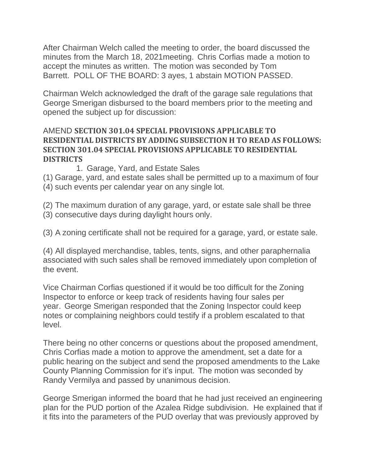After Chairman Welch called the meeting to order, the board discussed the minutes from the March 18, 2021meeting. Chris Corfias made a motion to accept the minutes as written. The motion was seconded by Tom Barrett. POLL OF THE BOARD: 3 ayes, 1 abstain MOTION PASSED.

Chairman Welch acknowledged the draft of the garage sale regulations that George Smerigan disbursed to the board members prior to the meeting and opened the subject up for discussion:

## AMEND **SECTION 301.04 SPECIAL PROVISIONS APPLICABLE TO RESIDENTIAL DISTRICTS BY ADDING SUBSECTION H TO READ AS FOLLOWS: SECTION 301.04 SPECIAL PROVISIONS APPLICABLE TO RESIDENTIAL DISTRICTS**

1. Garage, Yard, and Estate Sales

(1) Garage, yard, and estate sales shall be permitted up to a maximum of four (4) such events per calendar year on any single lot.

(2) The maximum duration of any garage, yard, or estate sale shall be three

(3) consecutive days during daylight hours only.

(3) A zoning certificate shall not be required for a garage, yard, or estate sale.

(4) All displayed merchandise, tables, tents, signs, and other paraphernalia associated with such sales shall be removed immediately upon completion of the event.

Vice Chairman Corfias questioned if it would be too difficult for the Zoning Inspector to enforce or keep track of residents having four sales per year. George Smerigan responded that the Zoning Inspector could keep notes or complaining neighbors could testify if a problem escalated to that level.

There being no other concerns or questions about the proposed amendment, Chris Corfias made a motion to approve the amendment, set a date for a public hearing on the subject and send the proposed amendments to the Lake County Planning Commission for it's input. The motion was seconded by Randy Vermilya and passed by unanimous decision.

George Smerigan informed the board that he had just received an engineering plan for the PUD portion of the Azalea Ridge subdivision. He explained that if it fits into the parameters of the PUD overlay that was previously approved by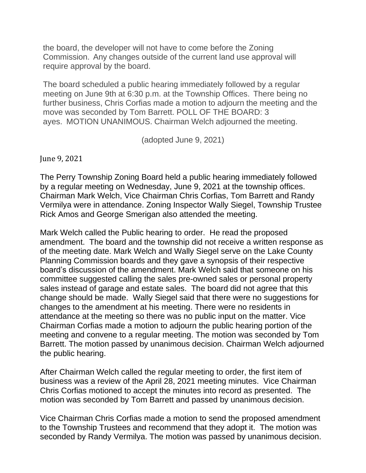the board, the developer will not have to come before the Zoning Commission. Any changes outside of the current land use approval will require approval by the board.

The board scheduled a public hearing immediately followed by a regular meeting on June 9th at 6:30 p.m. at the Township Offices. There being no further business, Chris Corfias made a motion to adjourn the meeting and the move was seconded by Tom Barrett. POLL OF THE BOARD: 3 ayes. MOTION UNANIMOUS. Chairman Welch adjourned the meeting.

(adopted June 9, 2021)

June 9, 2021

The Perry Township Zoning Board held a public hearing immediately followed by a regular meeting on Wednesday, June 9, 2021 at the township offices. Chairman Mark Welch, Vice Chairman Chris Corfias, Tom Barrett and Randy Vermilya were in attendance. Zoning Inspector Wally Siegel, Township Trustee Rick Amos and George Smerigan also attended the meeting.

Mark Welch called the Public hearing to order. He read the proposed amendment. The board and the township did not receive a written response as of the meeting date. Mark Welch and Wally Siegel serve on the Lake County Planning Commission boards and they gave a synopsis of their respective board's discussion of the amendment. Mark Welch said that someone on his committee suggested calling the sales pre-owned sales or personal property sales instead of garage and estate sales. The board did not agree that this change should be made. Wally Siegel said that there were no suggestions for changes to the amendment at his meeting. There were no residents in attendance at the meeting so there was no public input on the matter. Vice Chairman Corfias made a motion to adjourn the public hearing portion of the meeting and convene to a regular meeting. The motion was seconded by Tom Barrett. The motion passed by unanimous decision. Chairman Welch adjourned the public hearing.

After Chairman Welch called the regular meeting to order, the first item of business was a review of the April 28, 2021 meeting minutes. Vice Chairman Chris Corfias motioned to accept the minutes into record as presented. The motion was seconded by Tom Barrett and passed by unanimous decision.

Vice Chairman Chris Corfias made a motion to send the proposed amendment to the Township Trustees and recommend that they adopt it. The motion was seconded by Randy Vermilya. The motion was passed by unanimous decision.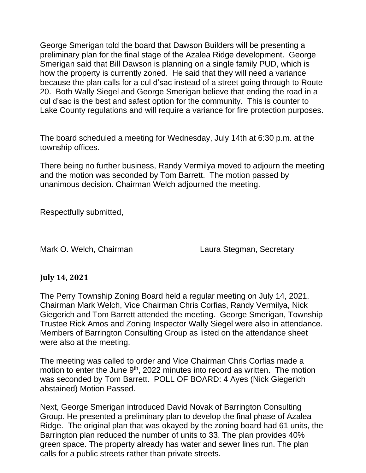George Smerigan told the board that Dawson Builders will be presenting a preliminary plan for the final stage of the Azalea Ridge development. George Smerigan said that Bill Dawson is planning on a single family PUD, which is how the property is currently zoned. He said that they will need a variance because the plan calls for a cul d'sac instead of a street going through to Route 20. Both Wally Siegel and George Smerigan believe that ending the road in a cul d'sac is the best and safest option for the community. This is counter to Lake County regulations and will require a variance for fire protection purposes.

The board scheduled a meeting for Wednesday, July 14th at 6:30 p.m. at the township offices.

There being no further business, Randy Vermilya moved to adjourn the meeting and the motion was seconded by Tom Barrett. The motion passed by unanimous decision. Chairman Welch adjourned the meeting.

Respectfully submitted,

Mark O. Welch, Chairman Laura Stegman, Secretary

### **July 14, 2021**

The Perry Township Zoning Board held a regular meeting on July 14, 2021. Chairman Mark Welch, Vice Chairman Chris Corfias, Randy Vermilya, Nick Giegerich and Tom Barrett attended the meeting. George Smerigan, Township Trustee Rick Amos and Zoning Inspector Wally Siegel were also in attendance. Members of Barrington Consulting Group as listed on the attendance sheet were also at the meeting.

The meeting was called to order and Vice Chairman Chris Corfias made a motion to enter the June 9<sup>th</sup>, 2022 minutes into record as written. The motion was seconded by Tom Barrett. POLL OF BOARD: 4 Ayes (Nick Giegerich abstained) Motion Passed.

Next, George Smerigan introduced David Novak of Barrington Consulting Group. He presented a preliminary plan to develop the final phase of Azalea Ridge. The original plan that was okayed by the zoning board had 61 units, the Barrington plan reduced the number of units to 33. The plan provides 40% green space. The property already has water and sewer lines run. The plan calls for a public streets rather than private streets.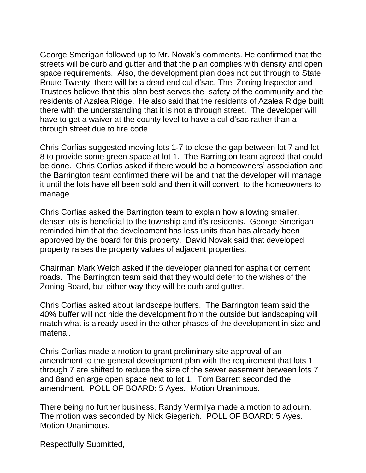George Smerigan followed up to Mr. Novak's comments. He confirmed that the streets will be curb and gutter and that the plan complies with density and open space requirements. Also, the development plan does not cut through to State Route Twenty, there will be a dead end cul d'sac. The Zoning Inspector and Trustees believe that this plan best serves the safety of the community and the residents of Azalea Ridge. He also said that the residents of Azalea Ridge built there with the understanding that it is not a through street. The developer will have to get a waiver at the county level to have a cul d'sac rather than a through street due to fire code.

Chris Corfias suggested moving lots 1-7 to close the gap between lot 7 and lot 8 to provide some green space at lot 1. The Barrington team agreed that could be done. Chris Corfias asked if there would be a homeowners' association and the Barrington team confirmed there will be and that the developer will manage it until the lots have all been sold and then it will convert to the homeowners to manage.

Chris Corfias asked the Barrington team to explain how allowing smaller, denser lots is beneficial to the township and it's residents. George Smerigan reminded him that the development has less units than has already been approved by the board for this property. David Novak said that developed property raises the property values of adjacent properties.

Chairman Mark Welch asked if the developer planned for asphalt or cement roads. The Barrington team said that they would defer to the wishes of the Zoning Board, but either way they will be curb and gutter.

Chris Corfias asked about landscape buffers. The Barrington team said the 40% buffer will not hide the development from the outside but landscaping will match what is already used in the other phases of the development in size and material.

Chris Corfias made a motion to grant preliminary site approval of an amendment to the general development plan with the requirement that lots 1 through 7 are shifted to reduce the size of the sewer easement between lots 7 and 8and enlarge open space next to lot 1. Tom Barrett seconded the amendment. POLL OF BOARD: 5 Ayes. Motion Unanimous.

There being no further business, Randy Vermilya made a motion to adjourn. The motion was seconded by Nick Giegerich. POLL OF BOARD: 5 Ayes. Motion Unanimous.

Respectfully Submitted,